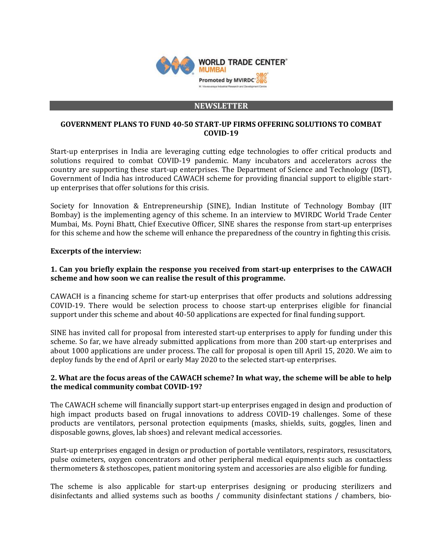

#### **NEWSLETTER**

#### **GOVERNMENT PLANS TO FUND 40-50 START-UP FIRMS OFFERING SOLUTIONS TO COMBAT COVID-19**

Start-up enterprises in India are leveraging cutting edge technologies to offer critical products and solutions required to combat COVID-19 pandemic. Many incubators and accelerators across the country are supporting these start-up enterprises. The Department of Science and Technology (DST), Government of India has introduced CAWACH scheme for providing financial support to eligible startup enterprises that offer solutions for this crisis.

Society for Innovation & Entrepreneurship (SINE), Indian Institute of Technology Bombay (IIT Bombay) is the implementing agency of this scheme. In an interview to MVIRDC World Trade Center Mumbai, Ms. Poyni Bhatt, Chief Executive Officer, SINE shares the response from start-up enterprises for this scheme and how the scheme will enhance the preparedness of the country in fighting this crisis.

## **Excerpts of the interview:**

# **1. Can you briefly explain the response you received from start-up enterprises to the CAWACH scheme and how soon we can realise the result of this programme.**

CAWACH is a financing scheme for start-up enterprises that offer products and solutions addressing COVID-19. There would be selection process to choose start-up enterprises eligible for financial support under this scheme and about 40-50 applications are expected for final funding support.

SINE has invited call for proposal from interested start-up enterprises to apply for funding under this scheme. So far, we have already submitted applications from more than 200 start-up enterprises and about 1000 applications are under process. The call for proposal is open till April 15, 2020. We aim to deploy funds by the end of April or early May 2020 to the selected start-up enterprises.

## **2. What are the focus areas of the CAWACH scheme? In what way, the scheme will be able to help the medical community combat COVID-19?**

The CAWACH scheme will financially support start-up enterprises engaged in design and production of high impact products based on frugal innovations to address COVID-19 challenges. Some of these products are ventilators, personal protection equipments (masks, shields, suits, goggles, linen and disposable gowns, gloves, lab shoes) and relevant medical accessories.

Start-up enterprises engaged in design or production of portable ventilators, respirators, resuscitators, pulse oximeters, oxygen concentrators and other peripheral medical equipments such as contactless thermometers & stethoscopes, patient monitoring system and accessories are also eligible for funding.

The scheme is also applicable for start-up enterprises designing or producing sterilizers and disinfectants and allied systems such as booths / community disinfectant stations / chambers, bio